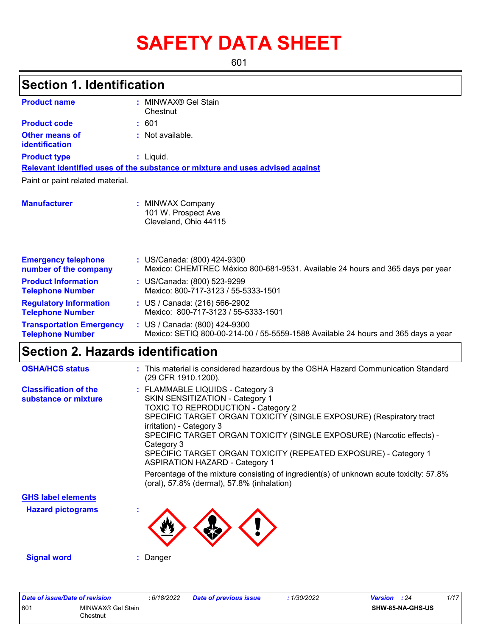# **SAFETY DATA SHEET**

601

## **Section 1. Identification**

| <b>Product name</b>                                        | MINWAX® Gel Stain                                                                                                  |  |  |  |  |
|------------------------------------------------------------|--------------------------------------------------------------------------------------------------------------------|--|--|--|--|
|                                                            | Chestnut                                                                                                           |  |  |  |  |
| <b>Product code</b>                                        | :601                                                                                                               |  |  |  |  |
| Other means of<br>identification                           | : Not available.                                                                                                   |  |  |  |  |
| <b>Product type</b>                                        | $:$ Liquid.                                                                                                        |  |  |  |  |
|                                                            | Relevant identified uses of the substance or mixture and uses advised against                                      |  |  |  |  |
| Paint or paint related material.                           |                                                                                                                    |  |  |  |  |
| <b>Manufacturer</b>                                        | : MINWAX Company<br>101 W. Prospect Ave<br>Cleveland, Ohio 44115                                                   |  |  |  |  |
| <b>Emergency telephone</b><br>number of the company        | : US/Canada: (800) 424-9300<br>Mexico: CHEMTREC México 800-681-9531. Available 24 hours and 365 days per year      |  |  |  |  |
| <b>Product Information</b><br><b>Telephone Number</b>      | : US/Canada: (800) 523-9299<br>Mexico: 800-717-3123 / 55-5333-1501                                                 |  |  |  |  |
| <b>Regulatory Information</b><br><b>Telephone Number</b>   | : US / Canada: (216) 566-2902<br>Mexico: 800-717-3123 / 55-5333-1501                                               |  |  |  |  |
| <b>Transportation Emergency</b><br><b>Telephone Number</b> | : US / Canada: (800) 424-9300<br>Mexico: SETIQ 800-00-214-00 / 55-5559-1588 Available 24 hours and 365 days a year |  |  |  |  |

## **Section 2. Hazards identification**

| <b>OSHA/HCS status</b>                               | : This material is considered hazardous by the OSHA Hazard Communication Standard<br>(29 CFR 1910.1200).                                                                                                                                                                                                                                                                                                               |
|------------------------------------------------------|------------------------------------------------------------------------------------------------------------------------------------------------------------------------------------------------------------------------------------------------------------------------------------------------------------------------------------------------------------------------------------------------------------------------|
| <b>Classification of the</b><br>substance or mixture | : FLAMMABLE LIQUIDS - Category 3<br><b>SKIN SENSITIZATION - Category 1</b><br>TOXIC TO REPRODUCTION - Category 2<br>SPECIFIC TARGET ORGAN TOXICITY (SINGLE EXPOSURE) (Respiratory tract<br>irritation) - Category 3<br>SPECIFIC TARGET ORGAN TOXICITY (SINGLE EXPOSURE) (Narcotic effects) -<br>Category 3<br>SPECIFIC TARGET ORGAN TOXICITY (REPEATED EXPOSURE) - Category 1<br><b>ASPIRATION HAZARD - Category 1</b> |
|                                                      | Percentage of the mixture consisting of ingredient(s) of unknown acute toxicity: 57.8%<br>(oral), 57.8% (dermal), 57.8% (inhalation)                                                                                                                                                                                                                                                                                   |
| <b>GHS label elements</b>                            |                                                                                                                                                                                                                                                                                                                                                                                                                        |
| <b>Hazard pictograms</b>                             |                                                                                                                                                                                                                                                                                                                                                                                                                        |
| <b>Signal word</b>                                   | : Danger                                                                                                                                                                                                                                                                                                                                                                                                               |

| Date of issue/Date of revision |                               | : 6/18/2022 | <b>Date of previous issue</b> | : 1/30/2022 | <b>Version</b> : 24 |                         | 1/17 |
|--------------------------------|-------------------------------|-------------|-------------------------------|-------------|---------------------|-------------------------|------|
| 601                            | MINWAX® Gel Stain<br>Chestnut |             |                               |             |                     | <b>SHW-85-NA-GHS-US</b> |      |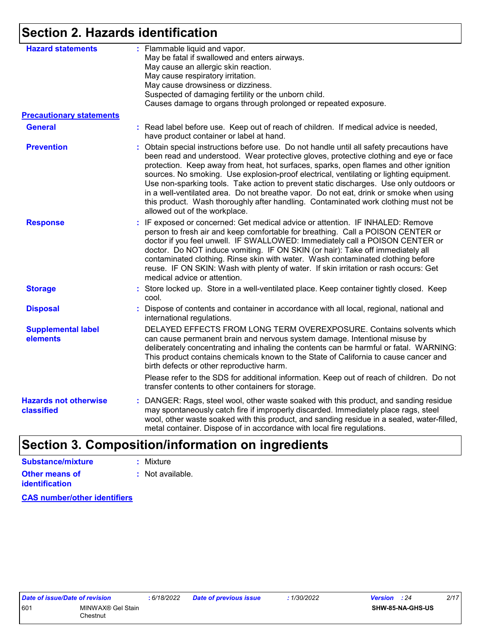## **Section 2. Hazards identification**

| <b>Hazard statements</b>                   | : Flammable liquid and vapor.<br>May be fatal if swallowed and enters airways.<br>May cause an allergic skin reaction.<br>May cause respiratory irritation.<br>May cause drowsiness or dizziness.<br>Suspected of damaging fertility or the unborn child.<br>Causes damage to organs through prolonged or repeated exposure.                                                                                                                                                                                                                                                                                                                                                        |
|--------------------------------------------|-------------------------------------------------------------------------------------------------------------------------------------------------------------------------------------------------------------------------------------------------------------------------------------------------------------------------------------------------------------------------------------------------------------------------------------------------------------------------------------------------------------------------------------------------------------------------------------------------------------------------------------------------------------------------------------|
| <b>Precautionary statements</b>            |                                                                                                                                                                                                                                                                                                                                                                                                                                                                                                                                                                                                                                                                                     |
| <b>General</b>                             | : Read label before use. Keep out of reach of children. If medical advice is needed,<br>have product container or label at hand.                                                                                                                                                                                                                                                                                                                                                                                                                                                                                                                                                    |
| <b>Prevention</b>                          | : Obtain special instructions before use. Do not handle until all safety precautions have<br>been read and understood. Wear protective gloves, protective clothing and eye or face<br>protection. Keep away from heat, hot surfaces, sparks, open flames and other ignition<br>sources. No smoking. Use explosion-proof electrical, ventilating or lighting equipment.<br>Use non-sparking tools. Take action to prevent static discharges. Use only outdoors or<br>in a well-ventilated area. Do not breathe vapor. Do not eat, drink or smoke when using<br>this product. Wash thoroughly after handling. Contaminated work clothing must not be<br>allowed out of the workplace. |
| <b>Response</b>                            | : IF exposed or concerned: Get medical advice or attention. IF INHALED: Remove<br>person to fresh air and keep comfortable for breathing. Call a POISON CENTER or<br>doctor if you feel unwell. IF SWALLOWED: Immediately call a POISON CENTER or<br>doctor. Do NOT induce vomiting. IF ON SKIN (or hair): Take off immediately all<br>contaminated clothing. Rinse skin with water. Wash contaminated clothing before<br>reuse. IF ON SKIN: Wash with plenty of water. If skin irritation or rash occurs: Get<br>medical advice or attention.                                                                                                                                      |
| <b>Storage</b>                             | : Store locked up. Store in a well-ventilated place. Keep container tightly closed. Keep<br>cool.                                                                                                                                                                                                                                                                                                                                                                                                                                                                                                                                                                                   |
| <b>Disposal</b>                            | : Dispose of contents and container in accordance with all local, regional, national and<br>international regulations.                                                                                                                                                                                                                                                                                                                                                                                                                                                                                                                                                              |
| <b>Supplemental label</b><br>elements      | DELAYED EFFECTS FROM LONG TERM OVEREXPOSURE. Contains solvents which<br>can cause permanent brain and nervous system damage. Intentional misuse by<br>deliberately concentrating and inhaling the contents can be harmful or fatal. WARNING:<br>This product contains chemicals known to the State of California to cause cancer and<br>birth defects or other reproductive harm.                                                                                                                                                                                                                                                                                                   |
|                                            | Please refer to the SDS for additional information. Keep out of reach of children. Do not<br>transfer contents to other containers for storage.                                                                                                                                                                                                                                                                                                                                                                                                                                                                                                                                     |
| <b>Hazards not otherwise</b><br>classified | : DANGER: Rags, steel wool, other waste soaked with this product, and sanding residue<br>may spontaneously catch fire if improperly discarded. Immediately place rags, steel<br>wool, other waste soaked with this product, and sanding residue in a sealed, water-filled,<br>metal container. Dispose of in accordance with local fire regulations.                                                                                                                                                                                                                                                                                                                                |
|                                            |                                                                                                                                                                                                                                                                                                                                                                                                                                                                                                                                                                                                                                                                                     |

## **Section 3. Composition/information on ingredients**

| Substance/mixture                       | : Mixture        |
|-----------------------------------------|------------------|
| Other means of<br><b>identification</b> | : Not available. |

**CAS number/other identifiers**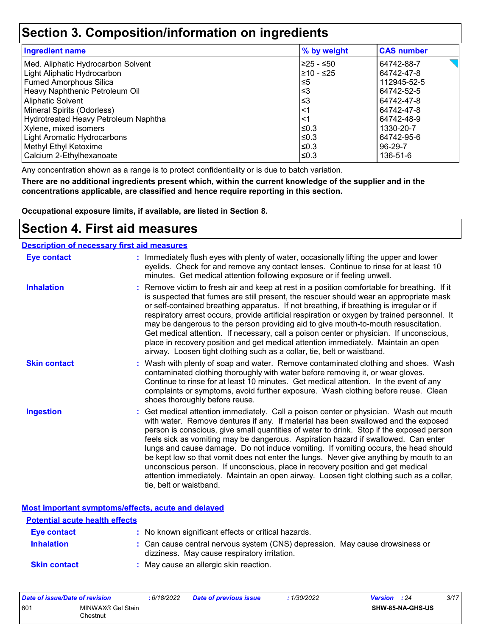### **Section 3. Composition/information on ingredients**

| <b>Ingredient name</b>               | % by weight | <b>CAS number</b> |
|--------------------------------------|-------------|-------------------|
| Med. Aliphatic Hydrocarbon Solvent   | ≥25 - ≤50   | 64742-88-7        |
| Light Aliphatic Hydrocarbon          | l≥10 - ≤25  | 64742-47-8        |
| <b>Fumed Amorphous Silica</b>        | 5≥ا         | 112945-52-5       |
| Heavy Naphthenic Petroleum Oil       | ∣≤3         | 64742-52-5        |
| Aliphatic Solvent                    | ∣≤3         | 64742-47-8        |
| Mineral Spirits (Odorless)           | ∣<1         | 64742-47-8        |
| Hydrotreated Heavy Petroleum Naphtha | <1          | 64742-48-9        |
| Xylene, mixed isomers                | l≤0.3       | 1330-20-7         |
| Light Aromatic Hydrocarbons          | l≤0.3       | 64742-95-6        |
| Methyl Ethyl Ketoxime                | l≤0.3       | 96-29-7           |
| Calcium 2-Ethylhexanoate             | l≤0.3       | 136-51-6          |

Any concentration shown as a range is to protect confidentiality or is due to batch variation.

**There are no additional ingredients present which, within the current knowledge of the supplier and in the concentrations applicable, are classified and hence require reporting in this section.**

**Occupational exposure limits, if available, are listed in Section 8.**

### **Section 4. First aid measures**

| <b>Description of necessary first aid measures</b> |                                                                                                                                                                                                                                                                                                                                                                                                                                                                                                                                                                                                                                                                                                                                                         |
|----------------------------------------------------|---------------------------------------------------------------------------------------------------------------------------------------------------------------------------------------------------------------------------------------------------------------------------------------------------------------------------------------------------------------------------------------------------------------------------------------------------------------------------------------------------------------------------------------------------------------------------------------------------------------------------------------------------------------------------------------------------------------------------------------------------------|
| <b>Eye contact</b>                                 | : Immediately flush eyes with plenty of water, occasionally lifting the upper and lower<br>eyelids. Check for and remove any contact lenses. Continue to rinse for at least 10<br>minutes. Get medical attention following exposure or if feeling unwell.                                                                                                                                                                                                                                                                                                                                                                                                                                                                                               |
| <b>Inhalation</b>                                  | : Remove victim to fresh air and keep at rest in a position comfortable for breathing. If it<br>is suspected that fumes are still present, the rescuer should wear an appropriate mask<br>or self-contained breathing apparatus. If not breathing, if breathing is irregular or if<br>respiratory arrest occurs, provide artificial respiration or oxygen by trained personnel. It<br>may be dangerous to the person providing aid to give mouth-to-mouth resuscitation.<br>Get medical attention. If necessary, call a poison center or physician. If unconscious,<br>place in recovery position and get medical attention immediately. Maintain an open<br>airway. Loosen tight clothing such as a collar, tie, belt or waistband.                    |
| <b>Skin contact</b>                                | : Wash with plenty of soap and water. Remove contaminated clothing and shoes. Wash<br>contaminated clothing thoroughly with water before removing it, or wear gloves.<br>Continue to rinse for at least 10 minutes. Get medical attention. In the event of any<br>complaints or symptoms, avoid further exposure. Wash clothing before reuse. Clean<br>shoes thoroughly before reuse.                                                                                                                                                                                                                                                                                                                                                                   |
| <b>Ingestion</b>                                   | : Get medical attention immediately. Call a poison center or physician. Wash out mouth<br>with water. Remove dentures if any. If material has been swallowed and the exposed<br>person is conscious, give small quantities of water to drink. Stop if the exposed person<br>feels sick as vomiting may be dangerous. Aspiration hazard if swallowed. Can enter<br>lungs and cause damage. Do not induce vomiting. If vomiting occurs, the head should<br>be kept low so that vomit does not enter the lungs. Never give anything by mouth to an<br>unconscious person. If unconscious, place in recovery position and get medical<br>attention immediately. Maintain an open airway. Loosen tight clothing such as a collar,<br>tie, belt or waistband. |

**Most important symptoms/effects, acute and delayed**

| <b>Potential acute health effects</b> |                                                                                                                              |
|---------------------------------------|------------------------------------------------------------------------------------------------------------------------------|
| Eye contact                           | : No known significant effects or critical hazards.                                                                          |
| <b>Inhalation</b>                     | : Can cause central nervous system (CNS) depression. May cause drowsiness or<br>dizziness. May cause respiratory irritation. |
| <b>Skin contact</b>                   | : May cause an allergic skin reaction.                                                                                       |

| Date of issue/Date of revision |                               | : 6/18/2022 | Date of previous issue | : 1/30/2022 | <b>Version</b> : 24     | 3/17 |
|--------------------------------|-------------------------------|-------------|------------------------|-------------|-------------------------|------|
| 601                            | MINWAX® Gel Stain<br>Chestnut |             |                        |             | <b>SHW-85-NA-GHS-US</b> |      |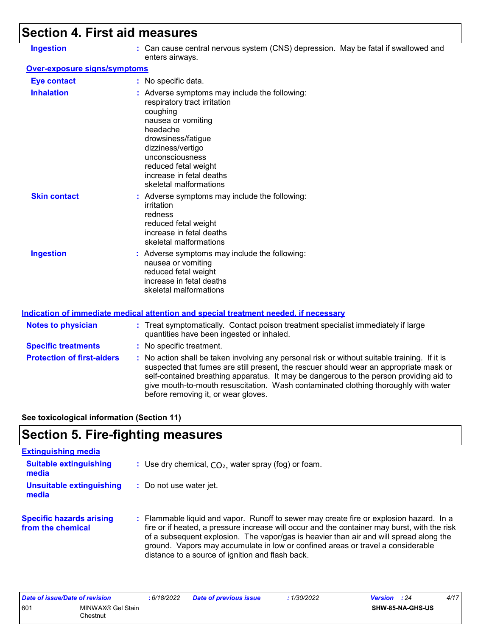## **Section 4. First aid measures**

| <b>Ingestion</b>             | : Can cause central nervous system (CNS) depression. May be fatal if swallowed and<br>enters airways.                                                                                                                                                                   |
|------------------------------|-------------------------------------------------------------------------------------------------------------------------------------------------------------------------------------------------------------------------------------------------------------------------|
| Over-exposure signs/symptoms |                                                                                                                                                                                                                                                                         |
| <b>Eye contact</b>           | : No specific data.                                                                                                                                                                                                                                                     |
| <b>Inhalation</b>            | : Adverse symptoms may include the following:<br>respiratory tract irritation<br>coughing<br>nausea or vomiting<br>headache<br>drowsiness/fatigue<br>dizziness/vertigo<br>unconsciousness<br>reduced fetal weight<br>increase in fetal deaths<br>skeletal malformations |
| <b>Skin contact</b>          | : Adverse symptoms may include the following:<br>irritation<br>redness<br>reduced fetal weight<br>increase in fetal deaths<br>skeletal malformations                                                                                                                    |
| <b>Ingestion</b>             | : Adverse symptoms may include the following:<br>nausea or vomiting<br>reduced fetal weight<br>increase in fetal deaths<br>skeletal malformations                                                                                                                       |

#### **Indication of immediate medical attention and special treatment needed, if necessary**

| <b>Notes to physician</b>         | : Treat symptomatically. Contact poison treatment specialist immediately if large<br>quantities have been ingested or inhaled.                                                                                                                                                                                                                                                                                  |
|-----------------------------------|-----------------------------------------------------------------------------------------------------------------------------------------------------------------------------------------------------------------------------------------------------------------------------------------------------------------------------------------------------------------------------------------------------------------|
| <b>Specific treatments</b>        | : No specific treatment.                                                                                                                                                                                                                                                                                                                                                                                        |
| <b>Protection of first-aiders</b> | : No action shall be taken involving any personal risk or without suitable training. If it is<br>suspected that fumes are still present, the rescuer should wear an appropriate mask or<br>self-contained breathing apparatus. It may be dangerous to the person providing aid to<br>give mouth-to-mouth resuscitation. Wash contaminated clothing thoroughly with water<br>before removing it, or wear gloves. |

**See toxicological information (Section 11)**

## **Section 5. Fire-fighting measures**

| <b>Extinguishing media</b>                           |                                                                                                                                                                                                                                                                                                                                                                                                                          |
|------------------------------------------------------|--------------------------------------------------------------------------------------------------------------------------------------------------------------------------------------------------------------------------------------------------------------------------------------------------------------------------------------------------------------------------------------------------------------------------|
| <b>Suitable extinguishing</b><br>media               | : Use dry chemical, $CO2$ , water spray (fog) or foam.                                                                                                                                                                                                                                                                                                                                                                   |
| Unsuitable extinguishing<br>media                    | : Do not use water jet.                                                                                                                                                                                                                                                                                                                                                                                                  |
| <b>Specific hazards arising</b><br>from the chemical | : Flammable liquid and vapor. Runoff to sewer may create fire or explosion hazard. In a<br>fire or if heated, a pressure increase will occur and the container may burst, with the risk<br>of a subsequent explosion. The vapor/gas is heavier than air and will spread along the<br>ground. Vapors may accumulate in low or confined areas or travel a considerable<br>distance to a source of ignition and flash back. |

| Date of issue/Date of revision |                               | : 6/18/2022 | <b>Date of previous issue</b> | : 1/30/2022 | <b>Version</b> : 24 |                         | 4/17 |
|--------------------------------|-------------------------------|-------------|-------------------------------|-------------|---------------------|-------------------------|------|
| 601                            | MINWAX® Gel Stain<br>Chestnut |             |                               |             |                     | <b>SHW-85-NA-GHS-US</b> |      |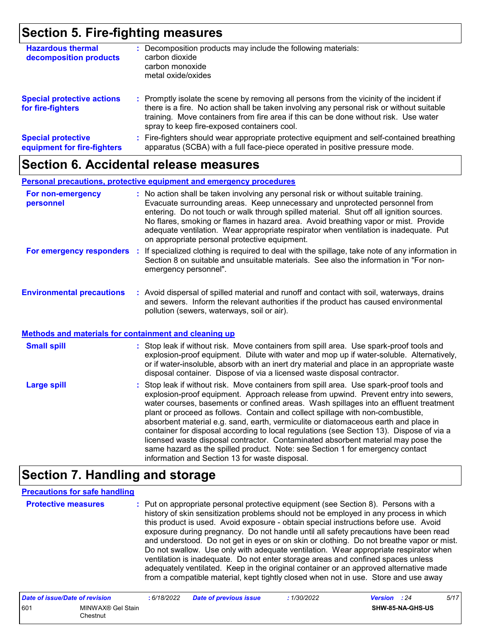### **Section 5. Fire-fighting measures**

| <b>Hazardous thermal</b><br>decomposition products       | Decomposition products may include the following materials:<br>carbon dioxide<br>carbon monoxide<br>metal oxide/oxides                                                                                                                                                                                                        |
|----------------------------------------------------------|-------------------------------------------------------------------------------------------------------------------------------------------------------------------------------------------------------------------------------------------------------------------------------------------------------------------------------|
| <b>Special protective actions</b><br>for fire-fighters   | : Promptly isolate the scene by removing all persons from the vicinity of the incident if<br>there is a fire. No action shall be taken involving any personal risk or without suitable<br>training. Move containers from fire area if this can be done without risk. Use water<br>spray to keep fire-exposed containers cool. |
| <b>Special protective</b><br>equipment for fire-fighters | Fire-fighters should wear appropriate protective equipment and self-contained breathing<br>apparatus (SCBA) with a full face-piece operated in positive pressure mode.                                                                                                                                                        |

### **Section 6. Accidental release measures**

#### **Personal precautions, protective equipment and emergency procedures**

| For non-emergency<br>personnel   | : No action shall be taken involving any personal risk or without suitable training.<br>Evacuate surrounding areas. Keep unnecessary and unprotected personnel from<br>entering. Do not touch or walk through spilled material. Shut off all ignition sources.<br>No flares, smoking or flames in hazard area. Avoid breathing vapor or mist. Provide<br>adequate ventilation. Wear appropriate respirator when ventilation is inadequate. Put<br>on appropriate personal protective equipment. |
|----------------------------------|-------------------------------------------------------------------------------------------------------------------------------------------------------------------------------------------------------------------------------------------------------------------------------------------------------------------------------------------------------------------------------------------------------------------------------------------------------------------------------------------------|
| For emergency responders         | : If specialized clothing is required to deal with the spillage, take note of any information in<br>Section 8 on suitable and unsuitable materials. See also the information in "For non-<br>emergency personnel".                                                                                                                                                                                                                                                                              |
| <b>Environmental precautions</b> | Avoid dispersal of spilled material and rupoff and contact with soil waterways, drains                                                                                                                                                                                                                                                                                                                                                                                                          |

#### **Environmental precautions : Avo :** illed material and runoff and contact with soil, waterways, drains and sewers. Inform the relevant authorities if the product has caused environmental pollution (sewers, waterways, soil or air).

#### **Methods and materials for containment and cleaning up**

| <b>Small spill</b> | : Stop leak if without risk. Move containers from spill area. Use spark-proof tools and<br>explosion-proof equipment. Dilute with water and mop up if water-soluble. Alternatively,<br>or if water-insoluble, absorb with an inert dry material and place in an appropriate waste<br>disposal container. Dispose of via a licensed waste disposal contractor.                                                                                                                                                                                                                                                                                                                                                                                                        |
|--------------------|----------------------------------------------------------------------------------------------------------------------------------------------------------------------------------------------------------------------------------------------------------------------------------------------------------------------------------------------------------------------------------------------------------------------------------------------------------------------------------------------------------------------------------------------------------------------------------------------------------------------------------------------------------------------------------------------------------------------------------------------------------------------|
| <b>Large spill</b> | : Stop leak if without risk. Move containers from spill area. Use spark-proof tools and<br>explosion-proof equipment. Approach release from upwind. Prevent entry into sewers,<br>water courses, basements or confined areas. Wash spillages into an effluent treatment<br>plant or proceed as follows. Contain and collect spillage with non-combustible,<br>absorbent material e.g. sand, earth, vermiculite or diatomaceous earth and place in<br>container for disposal according to local regulations (see Section 13). Dispose of via a<br>licensed waste disposal contractor. Contaminated absorbent material may pose the<br>same hazard as the spilled product. Note: see Section 1 for emergency contact<br>information and Section 13 for waste disposal. |

## **Section 7. Handling and storage**

#### **Precautions for safe handling**

**Protective measures :** Put on appropriate personal protective equipment (see Section 8). Persons with a history of skin sensitization problems should not be employed in any process in which this product is used. Avoid exposure - obtain special instructions before use. Avoid exposure during pregnancy. Do not handle until all safety precautions have been read and understood. Do not get in eyes or on skin or clothing. Do not breathe vapor or mist. Do not swallow. Use only with adequate ventilation. Wear appropriate respirator when ventilation is inadequate. Do not enter storage areas and confined spaces unless adequately ventilated. Keep in the original container or an approved alternative made from a compatible material, kept tightly closed when not in use. Store and use away

| Date of issue/Date of revision |                                | : 6/18/2022 | <b>Date of previous issue</b> | : 1/30/2022 | <b>Version</b> : 24 |                         | 5/17 |
|--------------------------------|--------------------------------|-------------|-------------------------------|-------------|---------------------|-------------------------|------|
| 601                            | MINWAX® Gel Stain<br>Chestnut∶ |             |                               |             |                     | <b>SHW-85-NA-GHS-US</b> |      |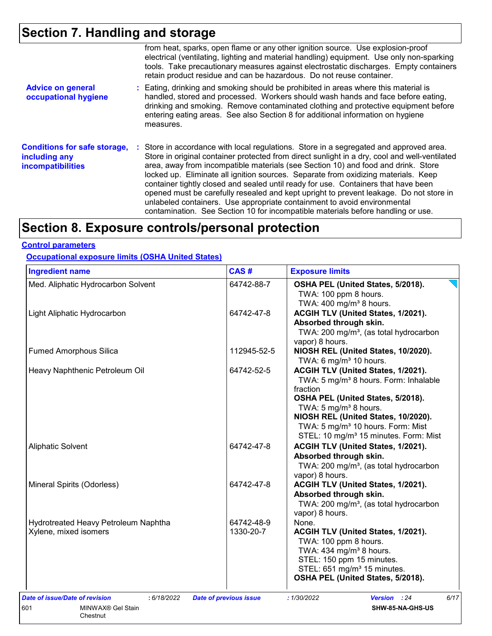## **Section 7. Handling and storage**

|                                                                                  | from heat, sparks, open flame or any other ignition source. Use explosion-proof<br>electrical (ventilating, lighting and material handling) equipment. Use only non-sparking<br>tools. Take precautionary measures against electrostatic discharges. Empty containers<br>retain product residue and can be hazardous. Do not reuse container.                                                                                                                                                                                                                                                                                                                                                                      |
|----------------------------------------------------------------------------------|--------------------------------------------------------------------------------------------------------------------------------------------------------------------------------------------------------------------------------------------------------------------------------------------------------------------------------------------------------------------------------------------------------------------------------------------------------------------------------------------------------------------------------------------------------------------------------------------------------------------------------------------------------------------------------------------------------------------|
| <b>Advice on general</b><br>occupational hygiene                                 | : Eating, drinking and smoking should be prohibited in areas where this material is<br>handled, stored and processed. Workers should wash hands and face before eating,<br>drinking and smoking. Remove contaminated clothing and protective equipment before<br>entering eating areas. See also Section 8 for additional information on hygiene<br>measures.                                                                                                                                                                                                                                                                                                                                                      |
| <b>Conditions for safe storage,</b><br>including any<br><b>incompatibilities</b> | : Store in accordance with local regulations. Store in a segregated and approved area.<br>Store in original container protected from direct sunlight in a dry, cool and well-ventilated<br>area, away from incompatible materials (see Section 10) and food and drink. Store<br>locked up. Eliminate all ignition sources. Separate from oxidizing materials. Keep<br>container tightly closed and sealed until ready for use. Containers that have been<br>opened must be carefully resealed and kept upright to prevent leakage. Do not store in<br>unlabeled containers. Use appropriate containment to avoid environmental<br>contamination. See Section 10 for incompatible materials before handling or use. |

## **Section 8. Exposure controls/personal protection**

#### **Control parameters**

**Occupational exposure limits (OSHA United States)**

| <b>Ingredient name</b>                        | CAS#                          | <b>Exposure limits</b>                                                                            |
|-----------------------------------------------|-------------------------------|---------------------------------------------------------------------------------------------------|
| Med. Aliphatic Hydrocarbon Solvent            | 64742-88-7                    | OSHA PEL (United States, 5/2018).<br>TWA: 100 ppm 8 hours.<br>TWA: 400 mg/m <sup>3</sup> 8 hours. |
| Light Aliphatic Hydrocarbon                   | 64742-47-8                    | ACGIH TLV (United States, 1/2021).                                                                |
|                                               |                               | Absorbed through skin.                                                                            |
|                                               |                               | TWA: 200 mg/m <sup>3</sup> , (as total hydrocarbon                                                |
|                                               |                               | vapor) 8 hours.                                                                                   |
| <b>Fumed Amorphous Silica</b>                 | 112945-52-5                   | NIOSH REL (United States, 10/2020).                                                               |
|                                               |                               | TWA: 6 mg/m <sup>3</sup> 10 hours.                                                                |
| Heavy Naphthenic Petroleum Oil                | 64742-52-5                    | ACGIH TLV (United States, 1/2021).                                                                |
|                                               |                               | TWA: 5 mg/m <sup>3</sup> 8 hours. Form: Inhalable                                                 |
|                                               |                               | fraction<br>OSHA PEL (United States, 5/2018).                                                     |
|                                               |                               | TWA: 5 mg/m <sup>3</sup> 8 hours.                                                                 |
|                                               |                               | NIOSH REL (United States, 10/2020).                                                               |
|                                               |                               | TWA: 5 mg/m <sup>3</sup> 10 hours. Form: Mist                                                     |
|                                               |                               | STEL: 10 mg/m <sup>3</sup> 15 minutes. Form: Mist                                                 |
| Aliphatic Solvent                             | 64742-47-8                    | ACGIH TLV (United States, 1/2021).                                                                |
|                                               |                               | Absorbed through skin.                                                                            |
|                                               |                               | TWA: 200 mg/m <sup>3</sup> , (as total hydrocarbon                                                |
|                                               |                               | vapor) 8 hours.                                                                                   |
| Mineral Spirits (Odorless)                    | 64742-47-8                    | ACGIH TLV (United States, 1/2021).                                                                |
|                                               |                               | Absorbed through skin.                                                                            |
|                                               |                               | TWA: 200 mg/m <sup>3</sup> , (as total hydrocarbon                                                |
|                                               |                               | vapor) 8 hours.                                                                                   |
| Hydrotreated Heavy Petroleum Naphtha          | 64742-48-9                    | None.                                                                                             |
| Xylene, mixed isomers                         | 1330-20-7                     | ACGIH TLV (United States, 1/2021).                                                                |
|                                               |                               | TWA: 100 ppm 8 hours.                                                                             |
|                                               |                               | TWA: 434 mg/m <sup>3</sup> 8 hours.                                                               |
|                                               |                               | STEL: 150 ppm 15 minutes.<br>STEL: 651 mg/m <sup>3</sup> 15 minutes.                              |
|                                               |                               | OSHA PEL (United States, 5/2018).                                                                 |
|                                               |                               |                                                                                                   |
| Date of issue/Date of revision<br>: 6/18/2022 | <b>Date of previous issue</b> | 6/17<br>: 1/30/2022<br>Version : 24                                                               |
| 601<br>MINWAX® Gel Stain                      |                               | SHW-85-NA-GHS-US                                                                                  |
| Chestnut                                      |                               |                                                                                                   |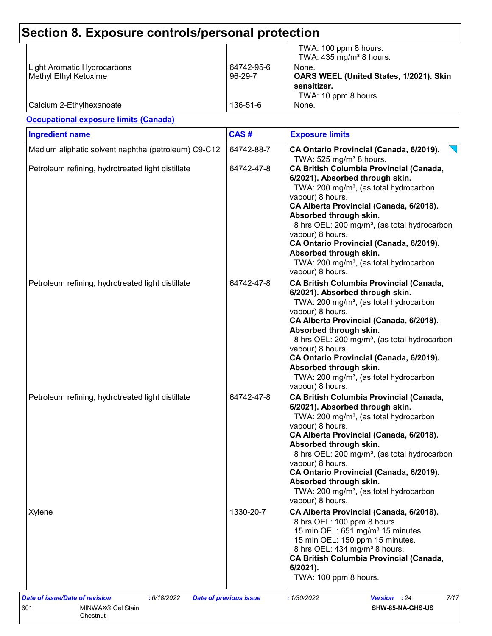| <b>Light Aromatic Hydrocarbons</b><br>Methyl Ethyl Ketoxime | 64742-95-6<br>96-29-7 | TWA: 100 ppm 8 hours.<br>TWA: $435 \text{ mg/m}^3$ 8 hours.<br>None.<br>OARS WEEL (United States, 1/2021). Skin<br>sensitizer.                                                                                                                                                                                                                                                                                                                                                                  |
|-------------------------------------------------------------|-----------------------|-------------------------------------------------------------------------------------------------------------------------------------------------------------------------------------------------------------------------------------------------------------------------------------------------------------------------------------------------------------------------------------------------------------------------------------------------------------------------------------------------|
| Calcium 2-Ethylhexanoate                                    | 136-51-6              | TWA: 10 ppm 8 hours.<br>None.                                                                                                                                                                                                                                                                                                                                                                                                                                                                   |
| <b>Occupational exposure limits (Canada)</b>                |                       |                                                                                                                                                                                                                                                                                                                                                                                                                                                                                                 |
| <b>Ingredient name</b>                                      | CAS#                  | <b>Exposure limits</b>                                                                                                                                                                                                                                                                                                                                                                                                                                                                          |
| Medium aliphatic solvent naphtha (petroleum) C9-C12         | 64742-88-7            | CA Ontario Provincial (Canada, 6/2019).                                                                                                                                                                                                                                                                                                                                                                                                                                                         |
| Petroleum refining, hydrotreated light distillate           | 64742-47-8            | TWA: 525 mg/m <sup>3</sup> 8 hours.<br>CA British Columbia Provincial (Canada,<br>6/2021). Absorbed through skin.<br>TWA: 200 mg/m <sup>3</sup> , (as total hydrocarbon<br>vapour) 8 hours.<br>CA Alberta Provincial (Canada, 6/2018).<br>Absorbed through skin.<br>8 hrs OEL: 200 mg/m <sup>3</sup> , (as total hydrocarbon<br>vapour) 8 hours.<br>CA Ontario Provincial (Canada, 6/2019).<br>Absorbed through skin.<br>TWA: 200 mg/m <sup>3</sup> , (as total hydrocarbon<br>vapour) 8 hours. |
| Petroleum refining, hydrotreated light distillate           | 64742-47-8            | <b>CA British Columbia Provincial (Canada,</b><br>6/2021). Absorbed through skin.<br>TWA: 200 mg/m <sup>3</sup> , (as total hydrocarbon<br>vapour) 8 hours.<br>CA Alberta Provincial (Canada, 6/2018).<br>Absorbed through skin.<br>8 hrs OEL: 200 mg/m <sup>3</sup> , (as total hydrocarbon<br>vapour) 8 hours.<br>CA Ontario Provincial (Canada, 6/2019).<br>Absorbed through skin.<br>TWA: 200 mg/m <sup>3</sup> , (as total hydrocarbon<br>vapour) 8 hours.                                 |
| Petroleum refining, hydrotreated light distillate           | 64742-47-8            | <b>CA British Columbia Provincial (Canada,</b><br>6/2021). Absorbed through skin.<br>TWA: 200 mg/m <sup>3</sup> , (as total hydrocarbon<br>vapour) 8 hours.<br>CA Alberta Provincial (Canada, 6/2018).<br>Absorbed through skin.<br>8 hrs OEL: 200 mg/m <sup>3</sup> , (as total hydrocarbon<br>vapour) 8 hours.<br>CA Ontario Provincial (Canada, 6/2019).<br>Absorbed through skin.<br>TWA: 200 mg/m <sup>3</sup> , (as total hydrocarbon<br>vapour) 8 hours.                                 |
| Xylene                                                      | 1330-20-7             | CA Alberta Provincial (Canada, 6/2018).<br>8 hrs OEL: 100 ppm 8 hours.<br>15 min OEL: 651 mg/m <sup>3</sup> 15 minutes.<br>15 min OEL: 150 ppm 15 minutes.<br>8 hrs OEL: 434 mg/m <sup>3</sup> 8 hours.<br><b>CA British Columbia Provincial (Canada,</b><br>$6/2021$ ).<br>TWA: 100 ppm 8 hours.                                                                                                                                                                                               |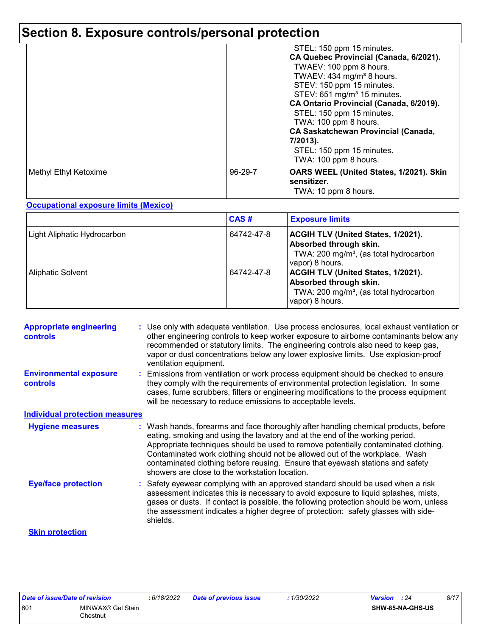## **Section 8. Exposure controls/personal protection**

|                       |               | STEL: 150 ppm 15 minutes.<br>CA Quebec Provincial (Canada, 6/2021).<br>TWAEV: 100 ppm 8 hours.<br>TWAEV: 434 mg/m <sup>3</sup> 8 hours.<br>STEV: 150 ppm 15 minutes.<br>STEV: 651 mg/m <sup>3</sup> 15 minutes.<br>CA Ontario Provincial (Canada, 6/2019).<br>STEL: 150 ppm 15 minutes.<br>TWA: 100 ppm 8 hours.<br><b>CA Saskatchewan Provincial (Canada,</b><br>7/2013).<br>STEL: 150 ppm 15 minutes.<br>TWA: 100 ppm 8 hours. |
|-----------------------|---------------|----------------------------------------------------------------------------------------------------------------------------------------------------------------------------------------------------------------------------------------------------------------------------------------------------------------------------------------------------------------------------------------------------------------------------------|
| Methyl Ethyl Ketoxime | $96 - 29 - 7$ | OARS WEEL (United States, 1/2021). Skin<br>sensitizer.<br>TWA: 10 ppm 8 hours.                                                                                                                                                                                                                                                                                                                                                   |

#### **Occupational exposure limits (Mexico)**

|                                    | CAS#       | <b>Exposure limits</b>                                                                                                                       |
|------------------------------------|------------|----------------------------------------------------------------------------------------------------------------------------------------------|
| <b>Light Aliphatic Hydrocarbon</b> | 64742-47-8 | <b>ACGIH TLV (United States, 1/2021).</b><br>Absorbed through skin.<br>TWA: 200 mg/m <sup>3</sup> , (as total hydrocarbon<br>vapor) 8 hours. |
| <b>Aliphatic Solvent</b>           | 64742-47-8 | <b>ACGIH TLV (United States, 1/2021).</b><br>Absorbed through skin.<br>TWA: 200 mg/m <sup>3</sup> , (as total hydrocarbon<br>vapor) 8 hours. |

| <b>Appropriate engineering</b><br><b>controls</b> | : Use only with adequate ventilation. Use process enclosures, local exhaust ventilation or<br>other engineering controls to keep worker exposure to airborne contaminants below any<br>recommended or statutory limits. The engineering controls also need to keep gas,<br>vapor or dust concentrations below any lower explosive limits. Use explosion-proof<br>ventilation equipment.                                                                                     |
|---------------------------------------------------|-----------------------------------------------------------------------------------------------------------------------------------------------------------------------------------------------------------------------------------------------------------------------------------------------------------------------------------------------------------------------------------------------------------------------------------------------------------------------------|
| <b>Environmental exposure</b><br><b>controls</b>  | : Emissions from ventilation or work process equipment should be checked to ensure<br>they comply with the requirements of environmental protection legislation. In some<br>cases, fume scrubbers, filters or engineering modifications to the process equipment<br>will be necessary to reduce emissions to acceptable levels.                                                                                                                                             |
| <b>Individual protection measures</b>             |                                                                                                                                                                                                                                                                                                                                                                                                                                                                             |
| <b>Hygiene measures</b>                           | : Wash hands, forearms and face thoroughly after handling chemical products, before<br>eating, smoking and using the lavatory and at the end of the working period.<br>Appropriate techniques should be used to remove potentially contaminated clothing.<br>Contaminated work clothing should not be allowed out of the workplace. Wash<br>contaminated clothing before reusing. Ensure that eyewash stations and safety<br>showers are close to the workstation location. |
| <b>Eye/face protection</b>                        | : Safety eyewear complying with an approved standard should be used when a risk<br>assessment indicates this is necessary to avoid exposure to liquid splashes, mists,<br>gases or dusts. If contact is possible, the following protection should be worn, unless<br>the assessment indicates a higher degree of protection: safety glasses with side-<br>shields.                                                                                                          |
| <b>Skin protection</b>                            |                                                                                                                                                                                                                                                                                                                                                                                                                                                                             |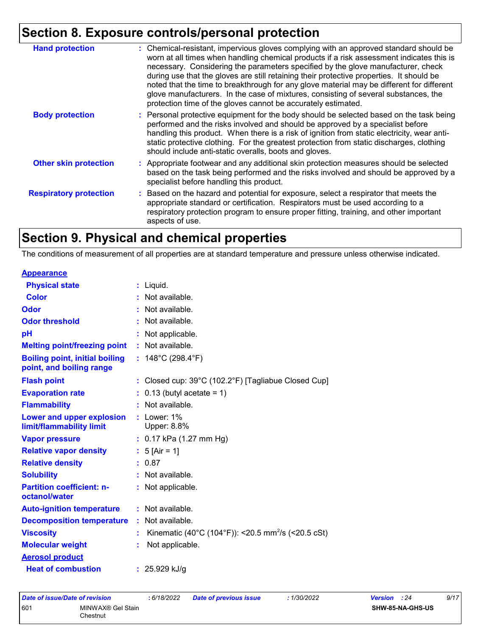## **Section 8. Exposure controls/personal protection**

| <b>Hand protection</b>        | : Chemical-resistant, impervious gloves complying with an approved standard should be<br>worn at all times when handling chemical products if a risk assessment indicates this is<br>necessary. Considering the parameters specified by the glove manufacturer, check<br>during use that the gloves are still retaining their protective properties. It should be<br>noted that the time to breakthrough for any glove material may be different for different<br>glove manufacturers. In the case of mixtures, consisting of several substances, the<br>protection time of the gloves cannot be accurately estimated. |
|-------------------------------|------------------------------------------------------------------------------------------------------------------------------------------------------------------------------------------------------------------------------------------------------------------------------------------------------------------------------------------------------------------------------------------------------------------------------------------------------------------------------------------------------------------------------------------------------------------------------------------------------------------------|
| <b>Body protection</b>        | : Personal protective equipment for the body should be selected based on the task being<br>performed and the risks involved and should be approved by a specialist before<br>handling this product. When there is a risk of ignition from static electricity, wear anti-<br>static protective clothing. For the greatest protection from static discharges, clothing<br>should include anti-static overalls, boots and gloves.                                                                                                                                                                                         |
| <b>Other skin protection</b>  | : Appropriate footwear and any additional skin protection measures should be selected<br>based on the task being performed and the risks involved and should be approved by a<br>specialist before handling this product.                                                                                                                                                                                                                                                                                                                                                                                              |
| <b>Respiratory protection</b> | : Based on the hazard and potential for exposure, select a respirator that meets the<br>appropriate standard or certification. Respirators must be used according to a<br>respiratory protection program to ensure proper fitting, training, and other important<br>aspects of use.                                                                                                                                                                                                                                                                                                                                    |

## **Section 9. Physical and chemical properties**

The conditions of measurement of all properties are at standard temperature and pressure unless otherwise indicated.

| <b>Appearance</b>                                                 |    |                                                                          |
|-------------------------------------------------------------------|----|--------------------------------------------------------------------------|
| <b>Physical state</b>                                             |    | $:$ Liquid.                                                              |
| <b>Color</b>                                                      |    | : Not available.                                                         |
| Odor                                                              |    | : Not available.                                                         |
| <b>Odor threshold</b>                                             |    | : Not available.                                                         |
| pH                                                                |    | : Not applicable.                                                        |
| <b>Melting point/freezing point</b>                               |    | : Not available.                                                         |
| <b>Boiling point, initial boiling</b><br>point, and boiling range |    | : $148^{\circ}$ C (298.4 $^{\circ}$ F)                                   |
| <b>Flash point</b>                                                |    | : Closed cup: $39^{\circ}$ C (102.2 $^{\circ}$ F) [Tagliabue Closed Cup] |
| <b>Evaporation rate</b>                                           |    | $: 0.13$ (butyl acetate = 1)                                             |
| <b>Flammability</b>                                               |    | : Not available.                                                         |
| Lower and upper explosion<br>limit/flammability limit             |    | $:$ Lower: 1%<br>Upper: 8.8%                                             |
| <b>Vapor pressure</b>                                             |    | : $0.17$ kPa (1.27 mm Hg)                                                |
| <b>Relative vapor density</b>                                     |    | : $5$ [Air = 1]                                                          |
| <b>Relative density</b>                                           |    | : 0.87                                                                   |
| <b>Solubility</b>                                                 |    | : Not available.                                                         |
| <b>Partition coefficient: n-</b><br>octanol/water                 |    | : Not applicable.                                                        |
| <b>Auto-ignition temperature</b>                                  |    | : Not available.                                                         |
| <b>Decomposition temperature</b>                                  |    | : Not available.                                                         |
| <b>Viscosity</b>                                                  |    | Kinematic (40°C (104°F)): <20.5 mm <sup>2</sup> /s (<20.5 cSt)           |
| <b>Molecular weight</b>                                           | t. | Not applicable.                                                          |
| <b>Aerosol product</b>                                            |    |                                                                          |
| <b>Heat of combustion</b>                                         |    | : $25.929$ kJ/g                                                          |

|     | Date of issue/Date of revision | 6/18/2022 | <b>Date of previous issue</b> | 1/30/2022 | Version<br>: 24         | 9/17 |
|-----|--------------------------------|-----------|-------------------------------|-----------|-------------------------|------|
| 601 | MINWAX® Gel Stain<br>Chestnut  |           |                               |           | <b>SHW-85-NA-GHS-US</b> |      |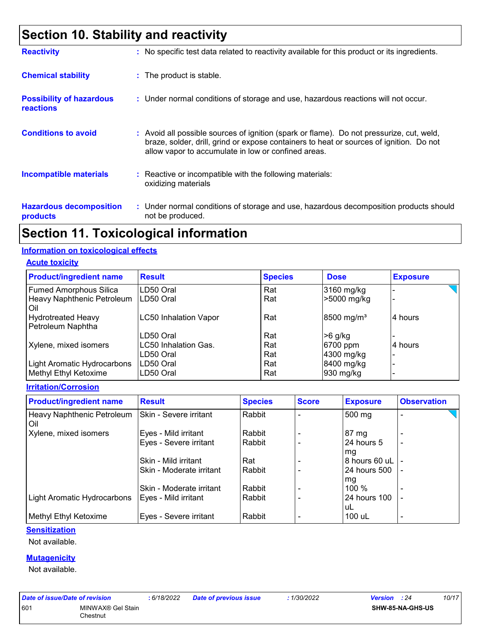## **Section 10. Stability and reactivity**

| <b>Reactivity</b>                                   | : No specific test data related to reactivity available for this product or its ingredients.                                                                                                                                               |
|-----------------------------------------------------|--------------------------------------------------------------------------------------------------------------------------------------------------------------------------------------------------------------------------------------------|
| <b>Chemical stability</b>                           | : The product is stable.                                                                                                                                                                                                                   |
| <b>Possibility of hazardous</b><br><b>reactions</b> | : Under normal conditions of storage and use, hazardous reactions will not occur.                                                                                                                                                          |
| <b>Conditions to avoid</b>                          | : Avoid all possible sources of ignition (spark or flame). Do not pressurize, cut, weld,<br>braze, solder, drill, grind or expose containers to heat or sources of ignition. Do not<br>allow vapor to accumulate in low or confined areas. |
| <b>Incompatible materials</b>                       | : Reactive or incompatible with the following materials:<br>oxidizing materials                                                                                                                                                            |
| <b>Hazardous decomposition</b><br>products          | : Under normal conditions of storage and use, hazardous decomposition products should<br>not be produced.                                                                                                                                  |

### **Section 11. Toxicological information**

#### **Information on toxicological effects**

**Acute toxicity**

| <b>Product/ingredient name</b> | <b>Result</b>                | <b>Species</b> | <b>Dose</b>            | <b>Exposure</b> |
|--------------------------------|------------------------------|----------------|------------------------|-----------------|
| <b>Fumed Amorphous Silica</b>  | LD50 Oral                    | Rat            | 3160 mg/kg             |                 |
| Heavy Naphthenic Petroleum     | LD50 Oral                    | Rat            | >5000 mg/kg            |                 |
| Oil                            |                              |                |                        |                 |
| <b>Hydrotreated Heavy</b>      | <b>LC50 Inhalation Vapor</b> | Rat            | 8500 mg/m <sup>3</sup> | 4 hours         |
| Petroleum Naphtha              |                              |                |                        |                 |
|                                | LD50 Oral                    | Rat            | >6 g/kg                |                 |
| Xylene, mixed isomers          | LC50 Inhalation Gas.         | Rat            | 6700 ppm               | 4 hours         |
|                                | LD50 Oral                    | Rat            | 4300 mg/kg             |                 |
| Light Aromatic Hydrocarbons    | LD50 Oral                    | Rat            | 8400 mg/kg             |                 |
| Methyl Ethyl Ketoxime          | LD50 Oral                    | Rat            | 930 mg/kg              |                 |

**Irritation/Corrosion**

| <b>Product/ingredient name</b>      | <b>Result</b>            | <b>Species</b> | <b>Score</b> | <b>Exposure</b>  | <b>Observation</b>       |  |
|-------------------------------------|--------------------------|----------------|--------------|------------------|--------------------------|--|
| Heavy Naphthenic Petroleum<br>l Oil | Skin - Severe irritant   | Rabbit         |              | 500 mg           | -                        |  |
| Xylene, mixed isomers               | Eyes - Mild irritant     | Rabbit         |              | 87 mg            |                          |  |
|                                     | Eyes - Severe irritant   | Rabbit         |              | 24 hours 5<br>mg | $\overline{\phantom{0}}$ |  |
|                                     | Skin - Mild irritant     | Rat            |              | 8 hours 60 uL    |                          |  |
|                                     | Skin - Moderate irritant | Rabbit         |              | 24 hours 500     | $\overline{\phantom{0}}$ |  |
|                                     | Skin - Moderate irritant | Rabbit         |              | mg<br>100 %      |                          |  |
| Light Aromatic Hydrocarbons         | Eyes - Mild irritant     | Rabbit         |              | 24 hours 100     |                          |  |
|                                     |                          |                |              | uL               |                          |  |
| Methyl Ethyl Ketoxime               | Eyes - Severe irritant   | Rabbit         |              | 100 uL           | $\overline{\phantom{0}}$ |  |

#### **Sensitization**

Not available.

#### **Mutagenicity**

Not available.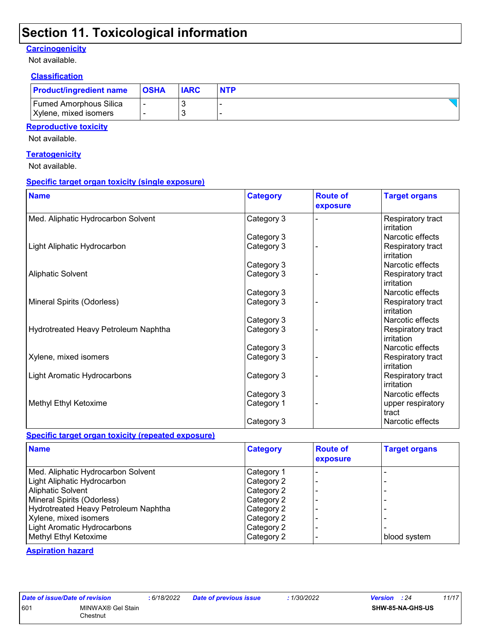### **Section 11. Toxicological information**

#### **Carcinogenicity**

Not available.

### **Classification**

| <b>Product/ingredient name</b> | <b>OSHA</b> | <b>IARC</b> | <b>NTP</b> |
|--------------------------------|-------------|-------------|------------|
| <b>Fumed Amorphous Silica</b>  |             |             |            |
| Xylene, mixed isomers          |             |             |            |

#### **Reproductive toxicity**

Not available.

#### **Teratogenicity**

Not available.

#### **Specific target organ toxicity (single exposure)**

| <b>Name</b>                          | <b>Category</b> | <b>Route of</b><br>exposure | <b>Target organs</b>            |
|--------------------------------------|-----------------|-----------------------------|---------------------------------|
| Med. Aliphatic Hydrocarbon Solvent   | Category 3      |                             | Respiratory tract<br>irritation |
|                                      | Category 3      |                             | Narcotic effects                |
| Light Aliphatic Hydrocarbon          | Category 3      |                             | Respiratory tract<br>irritation |
|                                      | Category 3      |                             | Narcotic effects                |
| <b>Aliphatic Solvent</b>             | Category 3      |                             | Respiratory tract<br>irritation |
|                                      | Category 3      |                             | Narcotic effects                |
| Mineral Spirits (Odorless)           | Category 3      |                             | Respiratory tract<br>irritation |
|                                      | Category 3      |                             | Narcotic effects                |
| Hydrotreated Heavy Petroleum Naphtha | Category 3      |                             | Respiratory tract<br>irritation |
|                                      | Category 3      |                             | Narcotic effects                |
| Xylene, mixed isomers                | Category 3      |                             | Respiratory tract<br>irritation |
| Light Aromatic Hydrocarbons          | Category 3      |                             | Respiratory tract<br>irritation |
|                                      | Category 3      |                             | Narcotic effects                |
| Methyl Ethyl Ketoxime                | Category 1      |                             | upper respiratory<br>tract      |
|                                      | Category 3      |                             | Narcotic effects                |

#### **Specific target organ toxicity (repeated exposure)**

| <b>Name</b>                          | <b>Category</b> | <b>Route of</b><br>exposure | <b>Target organs</b> |
|--------------------------------------|-----------------|-----------------------------|----------------------|
| Med. Aliphatic Hydrocarbon Solvent   | Category 1      |                             |                      |
| Light Aliphatic Hydrocarbon          | Category 2      |                             |                      |
| <b>Aliphatic Solvent</b>             | Category 2      |                             |                      |
| Mineral Spirits (Odorless)           | Category 2      |                             |                      |
| Hydrotreated Heavy Petroleum Naphtha | Category 2      |                             |                      |
| Xylene, mixed isomers                | Category 2      |                             |                      |
| Light Aromatic Hydrocarbons          | Category 2      |                             |                      |
| Methyl Ethyl Ketoxime                | Category 2      |                             | blood system         |

#### **Aspiration hazard**

| Date of issue/Date of revision |                   |
|--------------------------------|-------------------|
| 601                            | MINWAX® Gel Stain |
|                                | Chestnut          |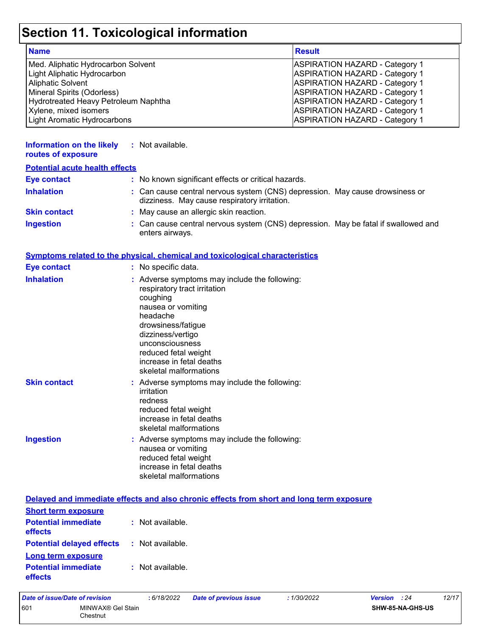# **Section 11. Toxicological information**

| <b>Name</b>                          | <b>Result</b>                         |
|--------------------------------------|---------------------------------------|
| Med. Aliphatic Hydrocarbon Solvent   | <b>ASPIRATION HAZARD - Category 1</b> |
| Light Aliphatic Hydrocarbon          | <b>ASPIRATION HAZARD - Category 1</b> |
| <b>Aliphatic Solvent</b>             | <b>ASPIRATION HAZARD - Category 1</b> |
| Mineral Spirits (Odorless)           | <b>ASPIRATION HAZARD - Category 1</b> |
| Hydrotreated Heavy Petroleum Naphtha | <b>ASPIRATION HAZARD - Category 1</b> |
| Xylene, mixed isomers                | <b>ASPIRATION HAZARD - Category 1</b> |
| Light Aromatic Hydrocarbons          | <b>ASPIRATION HAZARD - Category 1</b> |

| <b>Information on the likely</b><br>routes of exposure | : Not available.                                                                                                                                                                                                                                                        |  |
|--------------------------------------------------------|-------------------------------------------------------------------------------------------------------------------------------------------------------------------------------------------------------------------------------------------------------------------------|--|
| <b>Potential acute health effects</b>                  |                                                                                                                                                                                                                                                                         |  |
| <b>Eye contact</b>                                     | : No known significant effects or critical hazards.                                                                                                                                                                                                                     |  |
| <b>Inhalation</b>                                      | : Can cause central nervous system (CNS) depression. May cause drowsiness or<br>dizziness. May cause respiratory irritation.                                                                                                                                            |  |
| <b>Skin contact</b>                                    | : May cause an allergic skin reaction.                                                                                                                                                                                                                                  |  |
| <b>Ingestion</b>                                       | : Can cause central nervous system (CNS) depression. May be fatal if swallowed and<br>enters airways.                                                                                                                                                                   |  |
|                                                        | <b>Symptoms related to the physical, chemical and toxicological characteristics</b>                                                                                                                                                                                     |  |
| <b>Eye contact</b>                                     | : No specific data.                                                                                                                                                                                                                                                     |  |
| <b>Inhalation</b>                                      | : Adverse symptoms may include the following:<br>respiratory tract irritation<br>coughing<br>nausea or vomiting<br>headache<br>drowsiness/fatigue<br>dizziness/vertigo<br>unconsciousness<br>reduced fetal weight<br>increase in fetal deaths<br>skeletal malformations |  |
| <b>Skin contact</b>                                    | : Adverse symptoms may include the following:<br>irritation<br>redness<br>reduced fetal weight<br>increase in fetal deaths<br>skeletal malformations                                                                                                                    |  |
| <b>Ingestion</b>                                       | : Adverse symptoms may include the following:<br>nausea or vomiting<br>reduced fetal weight<br>increase in fetal deaths<br>skeletal malformations                                                                                                                       |  |
|                                                        | Delayed and immediate effects and also chronic effects from short and long term exposure                                                                                                                                                                                |  |
| <b>Short term exposure</b>                             |                                                                                                                                                                                                                                                                         |  |
| <b>Potential immediate</b><br>effects                  | : Not available.                                                                                                                                                                                                                                                        |  |
| <b>Potential delayed effects</b>                       | : Not available.                                                                                                                                                                                                                                                        |  |
| <b>Long term exposure</b>                              |                                                                                                                                                                                                                                                                         |  |

|     | Date of issue/Date of revision | : 6/18/2022 | <b>Date of previous issue</b> | : 1/30/2022 | <b>Version</b> : 24 | 12/17 |
|-----|--------------------------------|-------------|-------------------------------|-------------|---------------------|-------|
| 601 | MINWAX® Gel Stain<br>Chestnut  |             |                               |             | SHW-85-NA-GHS-US    |       |

**:** Not available.

**Potential immediate** 

**effects**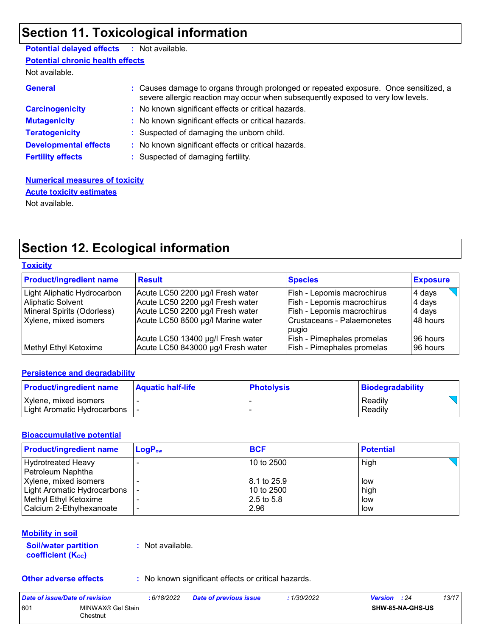## **Section 11. Toxicological information**

### **Potential delayed effects :** Not available.

**Potential chronic health effects**

Not available.

| <b>General</b>               | : Causes damage to organs through prolonged or repeated exposure. Once sensitized, a<br>severe allergic reaction may occur when subsequently exposed to very low levels. |
|------------------------------|--------------------------------------------------------------------------------------------------------------------------------------------------------------------------|
| <b>Carcinogenicity</b>       | : No known significant effects or critical hazards.                                                                                                                      |
| <b>Mutagenicity</b>          | : No known significant effects or critical hazards.                                                                                                                      |
| <b>Teratogenicity</b>        | : Suspected of damaging the unborn child.                                                                                                                                |
| <b>Developmental effects</b> | : No known significant effects or critical hazards.                                                                                                                      |
| <b>Fertility effects</b>     | : Suspected of damaging fertility.                                                                                                                                       |

#### **Numerical measures of toxicity** Not available. **Acute toxicity estimates**

## **Section 12. Ecological information**

| <b>Toxicity</b>                                         |                                                                         |                                                                        |                      |
|---------------------------------------------------------|-------------------------------------------------------------------------|------------------------------------------------------------------------|----------------------|
| <b>Product/ingredient name</b>                          | <b>Result</b>                                                           | <b>Species</b>                                                         | <b>Exposure</b>      |
| Light Aliphatic Hydrocarbon<br><b>Aliphatic Solvent</b> | Acute LC50 2200 µg/l Fresh water<br>Acute LC50 2200 µg/l Fresh water    | Fish - Lepomis macrochirus<br>Fish - Lepomis macrochirus               | 4 days               |
| Mineral Spirits (Odorless)                              | Acute LC50 2200 µg/l Fresh water                                        | Fish - Lepomis macrochirus                                             | 4 days<br>4 days     |
| Xylene, mixed isomers                                   | Acute LC50 8500 µg/l Marine water                                       | Crustaceans - Palaemonetes<br>pugio                                    | 48 hours             |
| Methyl Ethyl Ketoxime                                   | Acute LC50 13400 µg/l Fresh water<br>Acute LC50 843000 µg/l Fresh water | <b>Fish - Pimephales promelas</b><br><b>Fish - Pimephales promelas</b> | 96 hours<br>96 hours |

#### **Persistence and degradability**

| <b>Product/ingredient name</b> | <b>Aquatic half-life</b> | <b>Photolysis</b> | Biodegradability |
|--------------------------------|--------------------------|-------------------|------------------|
| Xylene, mixed isomers          |                          |                   | Readily          |
| Light Aromatic Hydrocarbons    |                          |                   | Readily          |

#### **Bioaccumulative potential**

| <b>Product/ingredient name</b> | $LogP_{ow}$ | <b>BCF</b>  | <b>Potential</b> |
|--------------------------------|-------------|-------------|------------------|
| <b>Hydrotreated Heavy</b>      |             | 10 to 2500  | high             |
| Petroleum Naphtha              |             |             |                  |
| Xylene, mixed isomers          |             | 8.1 to 25.9 | low              |
| Light Aromatic Hydrocarbons    |             | 10 to 2500  | high             |
| Methyl Ethyl Ketoxime          |             | 2.5 to 5.8  | low              |
| Calcium 2-Ethylhexanoate       | -           | 2.96        | low              |

#### **Mobility in soil**

| <b>Soil/water partition</b> |  |
|-----------------------------|--|
| <b>coefficient (Koc)</b>    |  |

**:** Not available.

**Other adverse effects** : No known significant effects or critical hazards.

| Date of issue/Date of revision |                               | 6/18/2022 | <b>Date of previous issue</b> | : 1/30/2022 | <b>Version</b> : 24 | 13/17            |
|--------------------------------|-------------------------------|-----------|-------------------------------|-------------|---------------------|------------------|
| 601                            | MINWAX® Gel Stain<br>Chestnut |           |                               |             |                     | SHW-85-NA-GHS-US |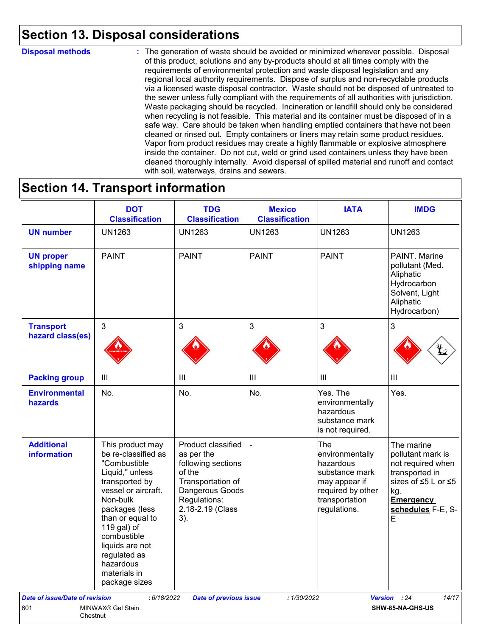## **Section 13. Disposal considerations**

#### **Disposal methods :**

The generation of waste should be avoided or minimized wherever possible. Disposal of this product, solutions and any by-products should at all times comply with the requirements of environmental protection and waste disposal legislation and any regional local authority requirements. Dispose of surplus and non-recyclable products via a licensed waste disposal contractor. Waste should not be disposed of untreated to the sewer unless fully compliant with the requirements of all authorities with jurisdiction. Waste packaging should be recycled. Incineration or landfill should only be considered when recycling is not feasible. This material and its container must be disposed of in a safe way. Care should be taken when handling emptied containers that have not been cleaned or rinsed out. Empty containers or liners may retain some product residues. Vapor from product residues may create a highly flammable or explosive atmosphere inside the container. Do not cut, weld or grind used containers unless they have been cleaned thoroughly internally. Avoid dispersal of spilled material and runoff and contact with soil, waterways, drains and sewers.

### **Section 14. Transport information**

|                                         | <b>DOT</b><br><b>Classification</b>                                                                                                                                                                                                                                                  | <b>TDG</b><br><b>Classification</b>                                                                                                                 | <b>Mexico</b><br><b>Classification</b> | <b>IATA</b>                                                                                                                   | <b>IMDG</b>                                                                                                                                        |
|-----------------------------------------|--------------------------------------------------------------------------------------------------------------------------------------------------------------------------------------------------------------------------------------------------------------------------------------|-----------------------------------------------------------------------------------------------------------------------------------------------------|----------------------------------------|-------------------------------------------------------------------------------------------------------------------------------|----------------------------------------------------------------------------------------------------------------------------------------------------|
| <b>UN number</b>                        | <b>UN1263</b>                                                                                                                                                                                                                                                                        | <b>UN1263</b>                                                                                                                                       | <b>UN1263</b>                          | <b>UN1263</b>                                                                                                                 | <b>UN1263</b>                                                                                                                                      |
| <b>UN proper</b><br>shipping name       | <b>PAINT</b>                                                                                                                                                                                                                                                                         | <b>PAINT</b>                                                                                                                                        | <b>PAINT</b>                           | <b>PAINT</b>                                                                                                                  | PAINT. Marine<br>pollutant (Med.<br>Aliphatic<br>Hydrocarbon<br>Solvent, Light<br>Aliphatic<br>Hydrocarbon)                                        |
| <b>Transport</b><br>hazard class(es)    | $\mathbf{3}$                                                                                                                                                                                                                                                                         | 3                                                                                                                                                   | $\mathfrak{S}$                         | 3                                                                                                                             | 3                                                                                                                                                  |
| <b>Packing group</b>                    | $\mathop{\rm III}$                                                                                                                                                                                                                                                                   | Ш                                                                                                                                                   | $\ensuremath{\mathsf{III}}\xspace$     | $\mathbf{III}$                                                                                                                | III                                                                                                                                                |
| <b>Environmental</b><br>hazards         | No.                                                                                                                                                                                                                                                                                  | No.                                                                                                                                                 | No.                                    | Yes. The<br>environmentally<br>hazardous<br>substance mark<br>is not required.                                                | Yes.                                                                                                                                               |
| <b>Additional</b><br><b>information</b> | This product may<br>be re-classified as<br>"Combustible<br>Liquid," unless<br>transported by<br>vessel or aircraft.<br>Non-bulk<br>packages (less<br>than or equal to<br>119 gal) of<br>combustible<br>liquids are not<br>regulated as<br>hazardous<br>materials in<br>package sizes | Product classified<br>as per the<br>following sections<br>of the<br>Transportation of<br>Dangerous Goods<br>Regulations:<br>2.18-2.19 (Class<br>3). |                                        | The<br>environmentally<br>hazardous<br>substance mark<br>may appear if<br>required by other<br>transportation<br>regulations. | The marine<br>pollutant mark is<br>not required when<br>transported in<br>sizes of ≤5 L or ≤5<br>kg.<br><b>Emergency</b><br>schedules F-E, S-<br>E |
| <b>Date of issue/Date of revision</b>   | : 6/18/2022                                                                                                                                                                                                                                                                          | <b>Date of previous issue</b>                                                                                                                       | : 1/30/2022                            |                                                                                                                               | 14/17<br>Version : 24                                                                                                                              |
| 601<br>Chestnut                         | MINWAX® Gel Stain                                                                                                                                                                                                                                                                    |                                                                                                                                                     |                                        |                                                                                                                               | SHW-85-NA-GHS-US                                                                                                                                   |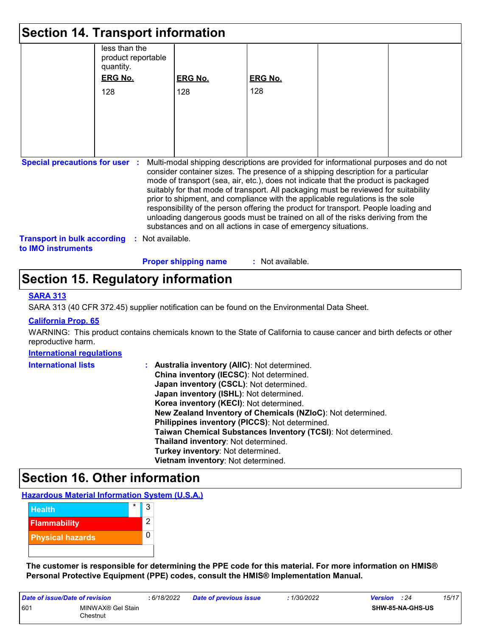| <b>Section 14. Transport information</b>                                                                                                                                                                                                                                                                                                                                                                                                                                                                                                                                                                                                                                                                                     |                                                  |                             |                  |  |  |  |
|------------------------------------------------------------------------------------------------------------------------------------------------------------------------------------------------------------------------------------------------------------------------------------------------------------------------------------------------------------------------------------------------------------------------------------------------------------------------------------------------------------------------------------------------------------------------------------------------------------------------------------------------------------------------------------------------------------------------------|--------------------------------------------------|-----------------------------|------------------|--|--|--|
|                                                                                                                                                                                                                                                                                                                                                                                                                                                                                                                                                                                                                                                                                                                              | less than the<br>product reportable<br>quantity. |                             |                  |  |  |  |
|                                                                                                                                                                                                                                                                                                                                                                                                                                                                                                                                                                                                                                                                                                                              | <b>ERG No.</b>                                   | <b>ERG No.</b>              | <b>ERG No.</b>   |  |  |  |
|                                                                                                                                                                                                                                                                                                                                                                                                                                                                                                                                                                                                                                                                                                                              | 128                                              | 128                         | 128              |  |  |  |
|                                                                                                                                                                                                                                                                                                                                                                                                                                                                                                                                                                                                                                                                                                                              |                                                  |                             |                  |  |  |  |
|                                                                                                                                                                                                                                                                                                                                                                                                                                                                                                                                                                                                                                                                                                                              |                                                  |                             |                  |  |  |  |
|                                                                                                                                                                                                                                                                                                                                                                                                                                                                                                                                                                                                                                                                                                                              |                                                  |                             |                  |  |  |  |
|                                                                                                                                                                                                                                                                                                                                                                                                                                                                                                                                                                                                                                                                                                                              |                                                  |                             |                  |  |  |  |
|                                                                                                                                                                                                                                                                                                                                                                                                                                                                                                                                                                                                                                                                                                                              |                                                  |                             |                  |  |  |  |
| Multi-modal shipping descriptions are provided for informational purposes and do not<br><b>Special precautions for user :</b><br>consider container sizes. The presence of a shipping description for a particular<br>mode of transport (sea, air, etc.), does not indicate that the product is packaged<br>suitably for that mode of transport. All packaging must be reviewed for suitability<br>prior to shipment, and compliance with the applicable regulations is the sole<br>responsibility of the person offering the product for transport. People loading and<br>unloading dangerous goods must be trained on all of the risks deriving from the<br>substances and on all actions in case of emergency situations. |                                                  |                             |                  |  |  |  |
| <b>Transport in bulk according</b><br>to IMO instruments                                                                                                                                                                                                                                                                                                                                                                                                                                                                                                                                                                                                                                                                     | : Not available.                                 |                             |                  |  |  |  |
|                                                                                                                                                                                                                                                                                                                                                                                                                                                                                                                                                                                                                                                                                                                              |                                                  | <b>Proper shipping name</b> | : Not available. |  |  |  |

## **Section 15. Regulatory information**

#### **SARA 313**

SARA 313 (40 CFR 372.45) supplier notification can be found on the Environmental Data Sheet.

#### **California Prop. 65**

WARNING: This product contains chemicals known to the State of California to cause cancer and birth defects or other reproductive harm.

#### **International regulations**

| <b>International lists</b> | Australia inventory (AllC): Not determined.                  |
|----------------------------|--------------------------------------------------------------|
|                            | China inventory (IECSC): Not determined.                     |
|                            | Japan inventory (CSCL): Not determined.                      |
|                            | Japan inventory (ISHL): Not determined.                      |
|                            | Korea inventory (KECI): Not determined.                      |
|                            | New Zealand Inventory of Chemicals (NZIoC): Not determined.  |
|                            | Philippines inventory (PICCS): Not determined.               |
|                            | Taiwan Chemical Substances Inventory (TCSI): Not determined. |
|                            | Thailand inventory: Not determined.                          |
|                            | Turkey inventory: Not determined.                            |
|                            | Vietnam inventory: Not determined.                           |

### **Section 16. Other information**

**Hazardous Material Information System (U.S.A.)**

| <b>Health</b>           | $\star$ | 3 |
|-------------------------|---------|---|
| <b>Flammability</b>     |         | 2 |
| <b>Physical hazards</b> |         |   |
|                         |         |   |

**The customer is responsible for determining the PPE code for this material. For more information on HMIS® Personal Protective Equipment (PPE) codes, consult the HMIS® Implementation Manual.**

| Date of issue/Date of revision |                               | : 6/18/2022 | <b>Date of previous issue</b> | : 1/30/2022 | <b>Version</b> : 24     | 15/17 |
|--------------------------------|-------------------------------|-------------|-------------------------------|-------------|-------------------------|-------|
| 601                            | MINWAX® Gel Stain<br>Chestnut |             |                               |             | <b>SHW-85-NA-GHS-US</b> |       |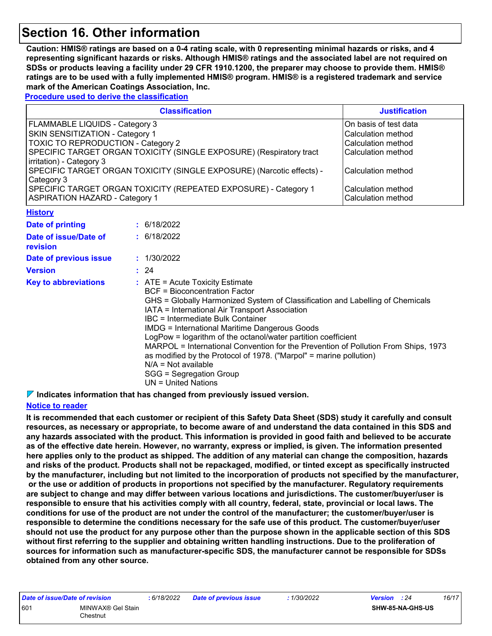## **Section 16. Other information**

**Caution: HMIS® ratings are based on a 0-4 rating scale, with 0 representing minimal hazards or risks, and 4 representing significant hazards or risks. Although HMIS® ratings and the associated label are not required on SDSs or products leaving a facility under 29 CFR 1910.1200, the preparer may choose to provide them. HMIS® ratings are to be used with a fully implemented HMIS® program. HMIS® is a registered trademark and service mark of the American Coatings Association, Inc.**

**Procedure used to derive the classification**

| <b>Classification</b>                                                 | <b>Justification</b>  |
|-----------------------------------------------------------------------|-----------------------|
| FLAMMABLE LIQUIDS - Category 3                                        | On basis of test data |
| SKIN SENSITIZATION - Category 1                                       | Calculation method    |
| <b>TOXIC TO REPRODUCTION - Category 2</b>                             | Calculation method    |
| SPECIFIC TARGET ORGAN TOXICITY (SINGLE EXPOSURE) (Respiratory tract   | Calculation method    |
| irritation) - Category 3                                              |                       |
| SPECIFIC TARGET ORGAN TOXICITY (SINGLE EXPOSURE) (Narcotic effects) - | Calculation method    |
| Category 3                                                            |                       |
| SPECIFIC TARGET ORGAN TOXICITY (REPEATED EXPOSURE) - Category 1       | Calculation method    |
| <b>ASPIRATION HAZARD - Category 1</b>                                 | Calculation method    |
| <b>Hietoni</b>                                                        |                       |

| <u>ныши</u>                       |                                                                                                                                                                                                                                                                                                                                                                                                                                                                                                                                                                                                                |
|-----------------------------------|----------------------------------------------------------------------------------------------------------------------------------------------------------------------------------------------------------------------------------------------------------------------------------------------------------------------------------------------------------------------------------------------------------------------------------------------------------------------------------------------------------------------------------------------------------------------------------------------------------------|
| Date of printing                  | : 6/18/2022                                                                                                                                                                                                                                                                                                                                                                                                                                                                                                                                                                                                    |
| Date of issue/Date of<br>revision | : 6/18/2022                                                                                                                                                                                                                                                                                                                                                                                                                                                                                                                                                                                                    |
| Date of previous issue            | : 1/30/2022                                                                                                                                                                                                                                                                                                                                                                                                                                                                                                                                                                                                    |
| <b>Version</b>                    | : 24                                                                                                                                                                                                                                                                                                                                                                                                                                                                                                                                                                                                           |
| <b>Key to abbreviations</b>       | $\therefore$ ATE = Acute Toxicity Estimate<br>BCF = Bioconcentration Factor<br>GHS = Globally Harmonized System of Classification and Labelling of Chemicals<br>IATA = International Air Transport Association<br>IBC = Intermediate Bulk Container<br>IMDG = International Maritime Dangerous Goods<br>LogPow = logarithm of the octanol/water partition coefficient<br>MARPOL = International Convention for the Prevention of Pollution From Ships, 1973<br>as modified by the Protocol of 1978. ("Marpol" = marine pollution)<br>$N/A = Not available$<br>SGG = Segregation Group<br>$UN = United Nations$ |

**Indicates information that has changed from previously issued version.**

#### **Notice to reader**

**It is recommended that each customer or recipient of this Safety Data Sheet (SDS) study it carefully and consult resources, as necessary or appropriate, to become aware of and understand the data contained in this SDS and any hazards associated with the product. This information is provided in good faith and believed to be accurate as of the effective date herein. However, no warranty, express or implied, is given. The information presented here applies only to the product as shipped. The addition of any material can change the composition, hazards and risks of the product. Products shall not be repackaged, modified, or tinted except as specifically instructed by the manufacturer, including but not limited to the incorporation of products not specified by the manufacturer, or the use or addition of products in proportions not specified by the manufacturer. Regulatory requirements are subject to change and may differ between various locations and jurisdictions. The customer/buyer/user is responsible to ensure that his activities comply with all country, federal, state, provincial or local laws. The conditions for use of the product are not under the control of the manufacturer; the customer/buyer/user is responsible to determine the conditions necessary for the safe use of this product. The customer/buyer/user should not use the product for any purpose other than the purpose shown in the applicable section of this SDS without first referring to the supplier and obtaining written handling instructions. Due to the proliferation of sources for information such as manufacturer-specific SDS, the manufacturer cannot be responsible for SDSs obtained from any other source.**

| Date of issue/Date of revision |                               | : 6/18/2022 | <b>Date of previous issue</b> | 1/30/2022 | <b>Version</b> : 24 |                  | 16/17 |
|--------------------------------|-------------------------------|-------------|-------------------------------|-----------|---------------------|------------------|-------|
| 601                            | MINWAX® Gel Stain<br>Chestnut |             |                               |           |                     | SHW-85-NA-GHS-US |       |